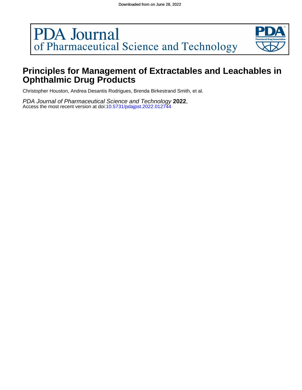# **PDA** Journal of Pharmaceutical Science and Technology



# **Ophthalmic Drug Products Principles for Management of Extractables and Leachables in**

Christopher Houston, Andrea Desantis Rodrigues, Brenda Birkestrand Smith, et al.

Access the most recent version at doi:10.5731/pdajpst.2022.012744 PDA Journal of Pharmaceutical Science and Technology **2022**,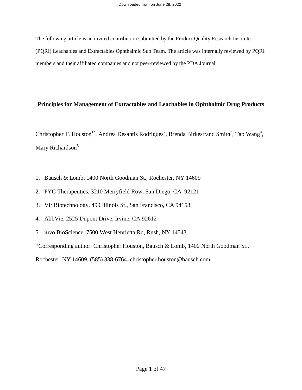The following article is an invited contribution submitted by the Product Quality Research Institute (PQRI) Leachables and Extractables Ophthalmic Sub Team. The article was internally reviewed by PQRI members and their affiliated companies and not peer-reviewed by the PDA Journal.

### **Principles for Management of Extractables and Leachables in Ophthalmic Drug Products**

Christopher T. Houston<sup>1\*</sup>, Andrea Desantis Rodrigues<sup>2</sup>, Brenda Birkestrand Smith<sup>3</sup>, Tao Wang<sup>4</sup>, Mary Richardson<sup>5</sup>

- 1. Bausch & Lomb, 1400 North Goodman St., Rochester, NY 14609
- 2. PYC Therapeutics, 3210 Merryfield Row, San Diego, CA 92121
- 3. Vir Biotechnology, 499 Illinois St., San Francisco, CA 94158
- 4. AbbVie, 2525 Dupont Drive, Irvine, CA 92612
- 5. iuvo BioScience, 7500 West Henrietta Rd, Rush, NY 14543

\*Corresponding author: Christopher Houston, Bausch & Lomb, 1400 North Goodman St.,

Rochester, NY 14609, (585) 338-6764, christopher.houston@bausch.com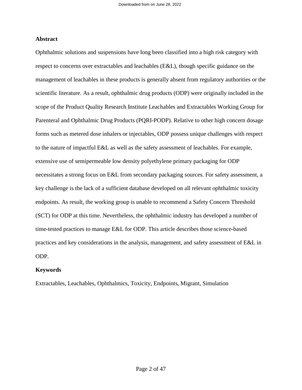### **Abstract**

Ophthalmic solutions and suspensions have long been classified into a high risk category with respect to concerns over extractables and leachables (E&L), though specific guidance on the management of leachables in these products is generally absent from regulatory authorities or the scientific literature. As a result, ophthalmic drug products (ODP) were originally included in the scope of the Product Quality Research Institute Leachables and Extractables Working Group for Parenteral and Ophthalmic Drug Products (PQRI-PODP). Relative to other high concern dosage forms such as metered dose inhalers or injectables, ODP possess unique challenges with respect to the nature of impactful E&L as well as the safety assessment of leachables. For example, extensive use of semipermeable low density polyethylene primary packaging for ODP necessitates a strong focus on E&L from secondary packaging sources. For safety assessment, a key challenge is the lack of a sufficient database developed on all relevant ophthalmic toxicity endpoints. As result, the working group is unable to recommend a Safety Concern Threshold (SCT) for ODP at this time. Nevertheless, the ophthalmic industry has developed a number of time-tested practices to manage E&L for ODP. This article describes those science-based practices and key considerations in the analysis, management, and safety assessment of E&L in ODP.

### **Keywords**

Extractables, Leachables, Ophthalmics, Toxicity, Endpoints, Migrant, Simulation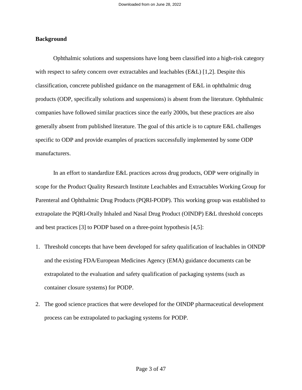### **Background**

Ophthalmic solutions and suspensions have long been classified into a high-risk category with respect to safety concern over extractables and leachables (E&L) [1,2]. Despite this classification, concrete published guidance on the management of E&L in ophthalmic drug products (ODP, specifically solutions and suspensions) is absent from the literature. Ophthalmic companies have followed similar practices since the early 2000s, but these practices are also generally absent from published literature. The goal of this article is to capture E&L challenges specific to ODP and provide examples of practices successfully implemented by some ODP manufacturers.

In an effort to standardize E&L practices across drug products, ODP were originally in scope for the Product Quality Research Institute Leachables and Extractables Working Group for Parenteral and Ophthalmic Drug Products (PQRI-PODP). This working group was established to extrapolate the PQRI-Orally Inhaled and Nasal Drug Product (OINDP) E&L threshold concepts and best practices [3] to PODP based on a three-point hypothesis [4,5]:

- 1. Threshold concepts that have been developed for safety qualification of leachables in OINDP and the existing FDA/European Medicines Agency (EMA) guidance documents can be extrapolated to the evaluation and safety qualification of packaging systems (such as container closure systems) for PODP.
- 2. The good science practices that were developed for the OINDP pharmaceutical development process can be extrapolated to packaging systems for PODP.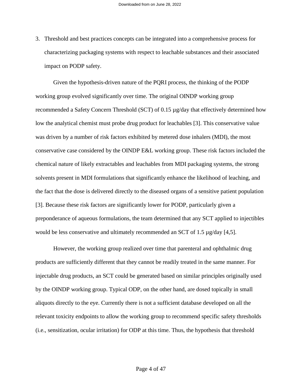3. Threshold and best practices concepts can be integrated into a comprehensive process for characterizing packaging systems with respect to leachable substances and their associated impact on PODP safety.

Given the hypothesis-driven nature of the PQRI process, the thinking of the PODP working group evolved significantly over time. The original OINDP working group recommended a Safety Concern Threshold (SCT) of 0.15 µg/day that effectively determined how low the analytical chemist must probe drug product for leachables [3]. This conservative value was driven by a number of risk factors exhibited by metered dose inhalers (MDI), the most conservative case considered by the OINDP E&L working group. These risk factors included the chemical nature of likely extractables and leachables from MDI packaging systems, the strong solvents present in MDI formulations that significantly enhance the likelihood of leaching, and the fact that the dose is delivered directly to the diseased organs of a sensitive patient population [3]. Because these risk factors are significantly lower for PODP, particularly given a preponderance of aqueous formulations, the team determined that any SCT applied to injectibles would be less conservative and ultimately recommended an SCT of 1.5  $\mu$ g/day [4,5].

However, the working group realized over time that parenteral and ophthalmic drug products are sufficiently different that they cannot be readily treated in the same manner. For injectable drug products, an SCT could be generated based on similar principles originally used by the OINDP working group. Typical ODP, on the other hand, are dosed topically in small aliquots directly to the eye. Currently there is not a sufficient database developed on all the relevant toxicity endpoints to allow the working group to recommend specific safety thresholds (i.e., sensitization, ocular irritation) for ODP at this time. Thus, the hypothesis that threshold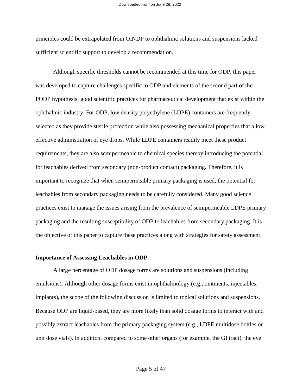principles could be extrapolated from OINDP to ophthalmic solutions and suspensions lacked sufficient scientific support to develop a recommendation.

Although specific thresholds cannot be recommended at this time for ODP, this paper was developed to capture challenges specific to ODP and elements of the second part of the PODP hypothesis, good scientific practices for pharmaceutical development that exist within the ophthalmic industry. For ODP, low density polyethylene (LDPE) containers are frequently selected as they provide sterile protection while also possessing mechanical properties that allow effective administration of eye drops. While LDPE containers readily meet these product requirements, they are also semipermeable to chemical species thereby introducing the potential for leachables derived from secondary (non-product contact) packaging**.** Therefore, it is important to recognize that when semipermeable primary packaging is used, the potential for leachables from secondary packaging needs to be carefully considered. Many good science practices exist to manage the issues arising from the prevalence of semipermeable LDPE primary packaging and the resulting susceptibility of ODP to leachables from secondary packaging. It is the objective of this paper to capture these practices along with strategies for safety assessment.

### **Importance of Assessing Leachables in ODP**

A large percentage of ODP dosage forms are solutions and suspensions (including emulsions). Although other dosage forms exist in ophthalmology (e.g., ointments, injectables, implants), the scope of the following discussion is limited to topical solutions and suspensions. Because ODP are liquid-based, they are more likely than solid dosage forms to interact with and possibly extract leachables from the primary packaging system (e.g., LDPE multidose bottles or unit dose vials). In addition, compared to some other organs (for example, the GI tract), the eye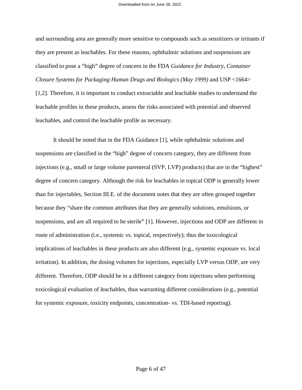and surrounding area are generally more sensitive to compounds such as sensitizers or irritants if they are present as leachables. For these reasons, ophthalmic solutions and suspensions are classified to pose a "high" degree of concern in the FDA *Guidance for Industry, Container Closure Systems for Packaging Human Drugs and Biologics (May 1999)* and USP <1664> [1,2]. Therefore, it is important to conduct extractable and leachable studies to understand the leachable profiles in these products, assess the risks associated with potential and observed leachables, and control the leachable profile as necessary.

It should be noted that in the FDA Guidance [1], while ophthalmic solutions and suspensions are classified in the "high" degree of concern category, they are different from injections (e.g., small or large volume parenteral (SVP, LVP) products) that are in the "highest" degree of concern category. Although the risk for leachables in topical ODP is generally lower than for injectables, Section III.E. of the document notes that they are often grouped together because they "share the common attributes that they are generally solutions, emulsions, or suspensions, and are all required to be sterile" [1]. However, injections and ODP are different in route of administration (i.e., systemic vs. topical, respectively); thus the toxicological implications of leachables in these products are also different (e.g., systemic exposure vs. local irritation). In addition, the dosing volumes for injections, especially LVP versus ODP, are very different. Therefore, ODP should be in a different category from injections when performing toxicological evaluation of leachables, thus warranting different considerations (e.g., potential for systemic exposure, toxicity endpoints, concentration- vs. TDI-based reporting).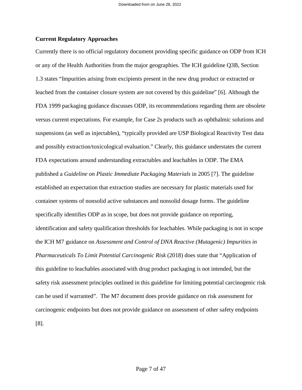### **Current Regulatory Approaches**

Currently there is no official regulatory document providing specific guidance on ODP from ICH or any of the Health Authorities from the major geographies. The ICH guideline Q3B, Section 1.3 states "Impurities arising from excipients present in the new drug product or extracted or leached from the container closure system are not covered by this guideline" [6]. Although the FDA 1999 packaging guidance discusses ODP, its recommendations regarding them are obsolete versus current expectations. For example, for Case 2s products such as ophthalmic solutions and suspensions (as well as injectables), "typically provided are USP Biological Reactivity Test data and possibly extraction/toxicological evaluation." Clearly, this guidance understates the current FDA expectations around understanding extractables and leachables in ODP. The EMA published a *Guideline on Plastic Immediate Packaging Materials* in 2005 [7]. The guideline established an expectation that extraction studies are necessary for plastic materials used for container systems of nonsolid active substances and nonsolid dosage forms. The guideline specifically identifies ODP as in scope, but does not provide guidance on reporting, identification and safety qualification thresholds for leachables. While packaging is not in scope the ICH M7 guidance on *Assessment and Control of DNA Reactive (Mutagenic) Impurities in Pharmaceuticals To Limit Potential Carcinogenic Risk* (2018) does state that "Application of this guideline to leachables associated with drug product packaging is not intended, but the safety risk assessment principles outlined in this guideline for limiting potential carcinogenic risk can be used if warranted". The M7 document does provide guidance on risk assessment for carcinogenic endpoints but does not provide guidance on assessment of other safety endpoints [8].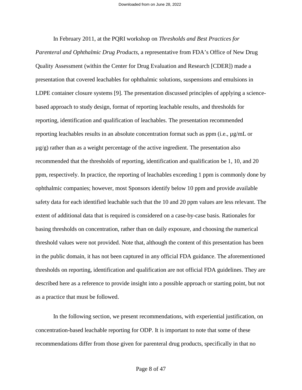In February 2011, at the PQRI workshop on *Thresholds and Best Practices for Parenteral and Ophthalmic Drug Products*, a representative from FDA's Office of New Drug Quality Assessment (within the Center for Drug Evaluation and Research [CDER]) made a presentation that covered leachables for ophthalmic solutions, suspensions and emulsions in LDPE container closure systems [9]. The presentation discussed principles of applying a sciencebased approach to study design, format of reporting leachable results, and thresholds for reporting, identification and qualification of leachables. The presentation recommended reporting leachables results in an absolute concentration format such as ppm (i.e., µg/mL or  $\mu$ g/g) rather than as a weight percentage of the active ingredient. The presentation also recommended that the thresholds of reporting, identification and qualification be 1, 10, and 20 ppm, respectively. In practice, the reporting of leachables exceeding 1 ppm is commonly done by ophthalmic companies; however, most Sponsors identify below 10 ppm and provide available safety data for each identified leachable such that the 10 and 20 ppm values are less relevant. The extent of additional data that is required is considered on a case-by-case basis. Rationales for basing thresholds on concentration, rather than on daily exposure, and choosing the numerical threshold values were not provided. Note that, although the content of this presentation has been in the public domain, it has not been captured in any official FDA guidance. The aforementioned thresholds on reporting, identification and qualification are not official FDA guidelines. They are described here as a reference to provide insight into a possible approach or starting point, but not as a practice that must be followed.

In the following section, we present recommendations, with experiential justification, on concentration-based leachable reporting for ODP. It is important to note that some of these recommendations differ from those given for parenteral drug products, specifically in that no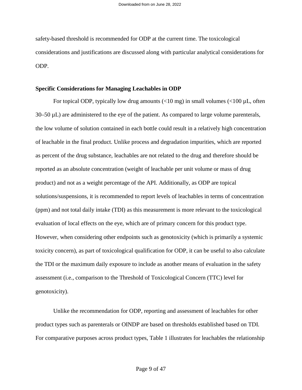safety-based threshold is recommended for ODP at the current time. The toxicological considerations and justifications are discussed along with particular analytical considerations for ODP.

### **Specific Considerations for Managing Leachables in ODP**

For topical ODP, typically low drug amounts  $\left($ <10 mg) in small volumes  $\left($ <100 µL, often 30–50 µL) are administered to the eye of the patient. As compared to large volume parenterals, the low volume of solution contained in each bottle could result in a relatively high concentration of leachable in the final product. Unlike process and degradation impurities, which are reported as percent of the drug substance, leachables are not related to the drug and therefore should be reported as an absolute concentration (weight of leachable per unit volume or mass of drug product) and not as a weight percentage of the API. Additionally, as ODP are topical solutions/suspensions, it is recommended to report levels of leachables in terms of concentration (ppm) and not total daily intake (TDI) as this measurement is more relevant to the toxicological evaluation of local effects on the eye, which are of primary concern for this product type. However, when considering other endpoints such as genotoxicity (which is primarily a systemic toxicity concern), as part of toxicological qualification for ODP, it can be useful to also calculate the TDI or the maximum daily exposure to include as another means of evaluation in the safety assessment (i.e., comparison to the Threshold of Toxicological Concern (TTC) level for genotoxicity).

Unlike the recommendation for ODP, reporting and assessment of leachables for other product types such as parenterals or OINDP are based on thresholds established based on TDI. For comparative purposes across product types, Table 1 illustrates for leachables the relationship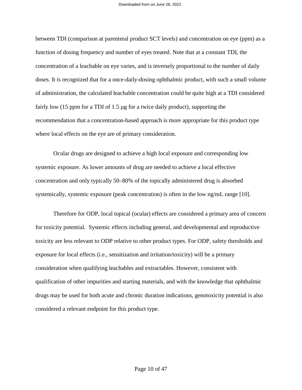between TDI (comparison at parenteral product SCT levels) and concentration on eye (ppm) as a function of dosing frequency and number of eyes treated. Note that at a constant TDI, the concentration of a leachable on eye varies, and is inversely proportional to the number of daily doses. It is recognized that for a once-daily-dosing ophthalmic product, with such a small volume of administration, the calculated leachable concentration could be quite high at a TDI considered fairly low (15 ppm for a TDI of 1.5 µg for a twice daily product), supporting the recommendation that a concentration-based approach is more appropriate for this product type where local effects on the eye are of primary consideration.

Ocular drugs are designed to achieve a high local exposure and corresponding low systemic exposure. As lower amounts of drug are needed to achieve a local effective concentration and only typically 50–80% of the topically administered drug is absorbed systemically, systemic exposure (peak concentration) is often in the low ng/mL range [10].

Therefore for ODP, local topical (ocular) effects are considered a primary area of concern for toxicity potential. Systemic effects including general, and developmental and reproductive toxicity are less relevant to ODP relative to other product types. For ODP, safety thresholds and exposure for local effects (i.e., sensitization and irritation/toxicity) will be a primary consideration when qualifying leachables and extractables. However, consistent with qualification of other impurities and starting materials, and with the knowledge that ophthalmic drugs may be used for both acute and chronic duration indications, genotoxicity potential is also considered a relevant endpoint for this product type.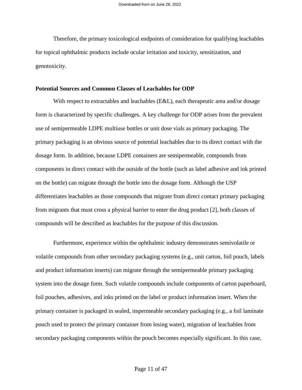Therefore, the primary toxicological endpoints of consideration for qualifying leachables for topical ophthalmic products include ocular irritation and toxicity, sensitization, and genotoxicity.

### **Potential Sources and Common Classes of Leachables for ODP**

With respect to extractables and leachables (E&L), each therapeutic area and/or dosage form is characterized by specific challenges. A key challenge for ODP arises from the prevalent use of semipermeable LDPE multiuse bottles or unit dose vials as primary packaging. The primary packaging is an obvious source of potential leachables due to its direct contact with the dosage form. In addition, because LDPE containers are semipermeable, compounds from components in direct contact with the outside of the bottle (such as label adhesive and ink printed on the bottle) can migrate through the bottle into the dosage form. Although the USP differentiates leachables as those compounds that migrate from direct contact primary packaging from migrants that must cross a physical barrier to enter the drug product [2], both classes of compounds will be described as leachables for the purpose of this discussion.

Furthermore, experience within the ophthalmic industry demonstrates semivolatile or volatile compounds from other secondary packaging systems (e.g., unit carton, foil pouch, labels and product information inserts) can migrate through the semipermeable primary packaging system into the dosage form. Such volatile compounds include components of carton paperboard, foil pouches, adhesives, and inks printed on the label or product information insert. When the primary container is packaged in sealed, impermeable secondary packaging (e.g., a foil laminate pouch used to protect the primary container from losing water), migration of leachables from secondary packaging components within the pouch becomes especially significant. In this case,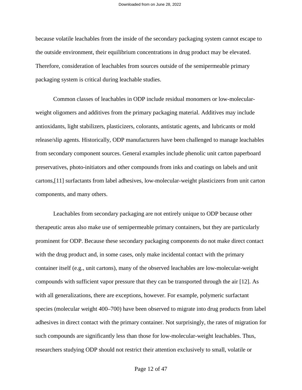because volatile leachables from the inside of the secondary packaging system cannot escape to the outside environment, their equilibrium concentrations in drug product may be elevated. Therefore, consideration of leachables from sources outside of the semipermeable primary packaging system is critical during leachable studies.

Common classes of leachables in ODP include residual monomers or low-molecularweight oligomers and additives from the primary packaging material. Additives may include antioxidants, light stabilizers, plasticizers, colorants, antistatic agents, and lubricants or mold release/slip agents. Historically, ODP manufacturers have been challenged to manage leachables from secondary component sources. General examples include phenolic unit carton paperboard preservatives, photo-initiators and other compounds from inks and coatings on labels and unit cartons,[11] surfactants from label adhesives, low-molecular-weight plasticizers from unit carton components, and many others.

Leachables from secondary packaging are not entirely unique to ODP because other therapeutic areas also make use of semipermeable primary containers, but they are particularly prominent for ODP. Because these secondary packaging components do not make direct contact with the drug product and, in some cases, only make incidental contact with the primary container itself (e.g., unit cartons), many of the observed leachables are low-molecular-weight compounds with sufficient vapor pressure that they can be transported through the air [12]. As with all generalizations, there are exceptions, however. For example, polymeric surfactant species (molecular weight 400–700) have been observed to migrate into drug products from label adhesives in direct contact with the primary container. Not surprisingly, the rates of migration for such compounds are significantly less than those for low-molecular-weight leachables. Thus, researchers studying ODP should not restrict their attention exclusively to small, volatile or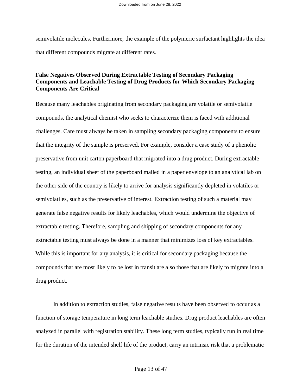semivolatile molecules. Furthermore, the example of the polymeric surfactant highlights the idea that different compounds migrate at different rates.

### **False Negatives Observed During Extractable Testing of Secondary Packaging Components and Leachable Testing of Drug Products for Which Secondary Packaging Components Are Critical**

Because many leachables originating from secondary packaging are volatile or semivolatile compounds, the analytical chemist who seeks to characterize them is faced with additional challenges. Care must always be taken in sampling secondary packaging components to ensure that the integrity of the sample is preserved. For example, consider a case study of a phenolic preservative from unit carton paperboard that migrated into a drug product. During extractable testing, an individual sheet of the paperboard mailed in a paper envelope to an analytical lab on the other side of the country is likely to arrive for analysis significantly depleted in volatiles or semivolatiles, such as the preservative of interest. Extraction testing of such a material may generate false negative results for likely leachables, which would undermine the objective of extractable testing. Therefore, sampling and shipping of secondary components for any extractable testing must always be done in a manner that minimizes loss of key extractables. While this is important for any analysis, it is critical for secondary packaging because the compounds that are most likely to be lost in transit are also those that are likely to migrate into a drug product.

In addition to extraction studies, false negative results have been observed to occur as a function of storage temperature in long term leachable studies. Drug product leachables are often analyzed in parallel with registration stability. These long term studies, typically run in real time for the duration of the intended shelf life of the product, carry an intrinsic risk that a problematic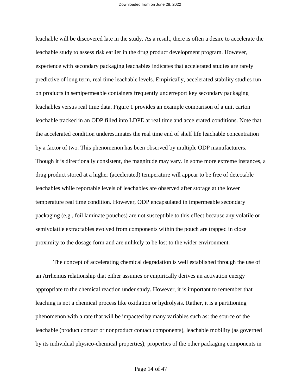leachable will be discovered late in the study. As a result, there is often a desire to accelerate the leachable study to assess risk earlier in the drug product development program. However, experience with secondary packaging leachables indicates that accelerated studies are rarely predictive of long term, real time leachable levels. Empirically, accelerated stability studies run on products in semipermeable containers frequently underreport key secondary packaging leachables versus real time data. Figure 1 provides an example comparison of a unit carton leachable tracked in an ODP filled into LDPE at real time and accelerated conditions. Note that the accelerated condition underestimates the real time end of shelf life leachable concentration by a factor of two. This phenomenon has been observed by multiple ODP manufacturers. Though it is directionally consistent, the magnitude may vary. In some more extreme instances, a drug product stored at a higher (accelerated) temperature will appear to be free of detectable leachables while reportable levels of leachables are observed after storage at the lower temperature real time condition. However, ODP encapsulated in impermeable secondary packaging (e.g., foil laminate pouches) are not susceptible to this effect because any volatile or semivolatile extractables evolved from components within the pouch are trapped in close proximity to the dosage form and are unlikely to be lost to the wider environment.

The concept of accelerating chemical degradation is well established through the use of an Arrhenius relationship that either assumes or empirically derives an activation energy appropriate to the chemical reaction under study. However, it is important to remember that leaching is not a chemical process like oxidation or hydrolysis. Rather, it is a partitioning phenomenon with a rate that will be impacted by many variables such as: the source of the leachable (product contact or nonproduct contact components), leachable mobility (as governed by its individual physico-chemical properties), properties of the other packaging components in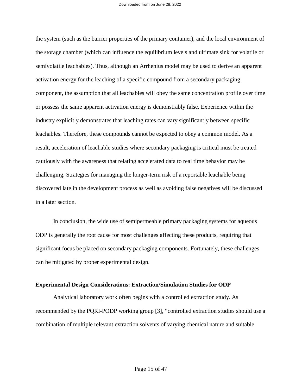the system (such as the barrier properties of the primary container), and the local environment of the storage chamber (which can influence the equilibrium levels and ultimate sink for volatile or semivolatile leachables). Thus, although an Arrhenius model may be used to derive an apparent activation energy for the leaching of a specific compound from a secondary packaging component, the assumption that all leachables will obey the same concentration profile over time or possess the same apparent activation energy is demonstrably false. Experience within the industry explicitly demonstrates that leaching rates can vary significantly between specific leachables. Therefore, these compounds cannot be expected to obey a common model. As a result, acceleration of leachable studies where secondary packaging is critical must be treated cautiously with the awareness that relating accelerated data to real time behavior may be challenging. Strategies for managing the longer-term risk of a reportable leachable being discovered late in the development process as well as avoiding false negatives will be discussed in a later section.

In conclusion, the wide use of semipermeable primary packaging systems for aqueous ODP is generally the root cause for most challenges affecting these products, requiring that significant focus be placed on secondary packaging components. Fortunately, these challenges can be mitigated by proper experimental design.

### **Experimental Design Considerations: Extraction/Simulation Studies for ODP**

Analytical laboratory work often begins with a controlled extraction study. As recommended by the PQRI-PODP working group [3], "controlled extraction studies should use a combination of multiple relevant extraction solvents of varying chemical nature and suitable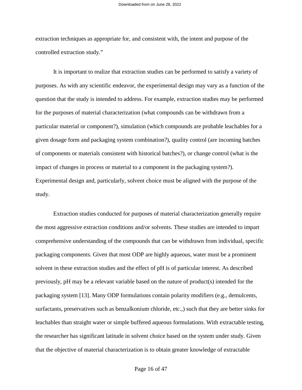extraction techniques as appropriate for, and consistent with, the intent and purpose of the controlled extraction study."

It is important to realize that extraction studies can be performed to satisfy a variety of purposes. As with any scientific endeavor, the experimental design may vary as a function of the question that the study is intended to address. For example, extraction studies may be performed for the purposes of material characterization (what compounds can be withdrawn from a particular material or component?), simulation (which compounds are probable leachables for a given dosage form and packaging system combination?), quality control (are incoming batches of components or materials consistent with historical batches?), or change control (what is the impact of changes in process or material to a component in the packaging system?). Experimental design and, particularly, solvent choice must be aligned with the purpose of the study.

Extraction studies conducted for purposes of material characterization generally require the most aggressive extraction conditions and/or solvents. These studies are intended to impart comprehensive understanding of the compounds that can be withdrawn from individual, specific packaging components. Given that most ODP are highly aqueous, water must be a prominent solvent in these extraction studies and the effect of pH is of particular interest. As described previously, pH may be a relevant variable based on the nature of product(s) intended for the packaging system [13]. Many ODP formulations contain polarity modifiers (e.g., demulcents, surfactants, preservatives such as benzalkonium chloride, etc.,) such that they are better sinks for leachables than straight water or simple buffered aqueous formulations. With extractable testing, the researcher has significant latitude in solvent choice based on the system under study. Given that the objective of material characterization is to obtain greater knowledge of extractable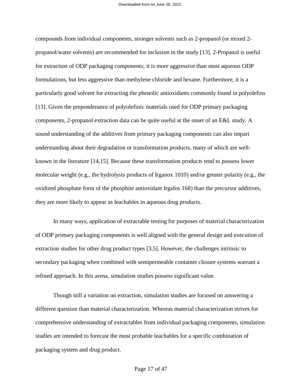compounds from individual components, stronger solvents such as 2-propanol (or mixed 2 propanol/water solvents) are recommended for inclusion in the study [13]. 2-Propanol is useful for extraction of ODP packaging components; it is more aggressive than most aqueous ODP formulations, but less aggressive than methylene chloride and hexane. Furthermore, it is a particularly good solvent for extracting the phenolic antioxidants commonly found in polyolefins [13]. Given the preponderance of polyolefinic materials used for ODP primary packaging components, 2-propanol extraction data can be quite useful at the onset of an E&L study. A sound understanding of the additives from primary packaging components can also impart understanding about their degradation or transformation products, many of which are wellknown in the literature [14,15]. Because these transformation products tend to possess lower molecular weight (e.g., the hydrolysis products of Irganox 1010) and/or greater polarity (e.g., the oxidized phosphate form of the phosphite antioxidant Irgafos 168) than the precursor additives, they are more likely to appear as leachables in aqueous drug products.

In many ways, application of extractable testing for purposes of material characterization of ODP primary packaging components is well aligned with the general design and execution of extraction studies for other drug product types [3,5]. However, the challenges intrinsic to secondary packaging when combined with semipermeable container closure systems warrant a refined approach. In this arena, simulation studies possess significant value.

Though still a variation on extraction, simulation studies are focused on answering a different question than material characterization. Whereas material characterization strives for comprehensive understanding of extractables from individual packaging components, simulation studies are intended to forecast the most probable leachables for a specific combination of packaging system and drug product.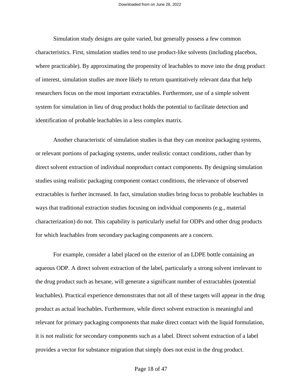Simulation study designs are quite varied, but generally possess a few common characteristics. First, simulation studies tend to use product-like solvents (including placebos, where practicable). By approximating the propensity of leachables to move into the drug product of interest, simulation studies are more likely to return quantitatively relevant data that help researchers focus on the most important extractables. Furthermore, use of a simple solvent system for simulation in lieu of drug product holds the potential to facilitate detection and identification of probable leachables in a less complex matrix.

Another characteristic of simulation studies is that they can monitor packaging systems, or relevant portions of packaging systems, under realistic contact conditions, rather than by direct solvent extraction of individual nonproduct contact components. By designing simulation studies using realistic packaging component contact conditions, the relevance of observed extractables is further increased. In fact, simulation studies bring focus to probable leachables in ways that traditional extraction studies focusing on individual components (e.g., material characterization) do not. This capability is particularly useful for ODPs and other drug products for which leachables from secondary packaging components are a concern.

For example, consider a label placed on the exterior of an LDPE bottle containing an aqueous ODP. A direct solvent extraction of the label, particularly a strong solvent irrelevant to the drug product such as hexane, will generate a significant number of extractables (potential leachables). Practical experience demonstrates that not all of these targets will appear in the drug product as actual leachables. Furthermore, while direct solvent extraction is meaningful and relevant for primary packaging components that make direct contact with the liquid formulation, it is not realistic for secondary components such as a label. Direct solvent extraction of a label provides a vector for substance migration that simply does not exist in the drug product.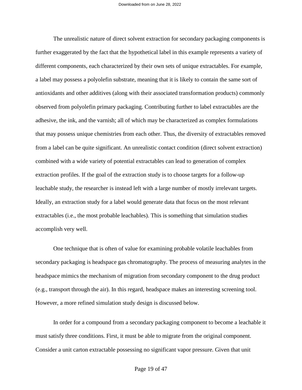The unrealistic nature of direct solvent extraction for secondary packaging components is further exaggerated by the fact that the hypothetical label in this example represents a variety of different components, each characterized by their own sets of unique extractables. For example, a label may possess a polyolefin substrate, meaning that it is likely to contain the same sort of antioxidants and other additives (along with their associated transformation products) commonly observed from polyolefin primary packaging. Contributing further to label extractables are the adhesive, the ink, and the varnish; all of which may be characterized as complex formulations that may possess unique chemistries from each other. Thus, the diversity of extractables removed from a label can be quite significant. An unrealistic contact condition (direct solvent extraction) combined with a wide variety of potential extractables can lead to generation of complex extraction profiles. If the goal of the extraction study is to choose targets for a follow-up leachable study, the researcher is instead left with a large number of mostly irrelevant targets. Ideally, an extraction study for a label would generate data that focus on the most relevant extractables (i.e., the most probable leachables). This is something that simulation studies accomplish very well.

One technique that is often of value for examining probable volatile leachables from secondary packaging is headspace gas chromatography. The process of measuring analytes in the headspace mimics the mechanism of migration from secondary component to the drug product (e.g., transport through the air). In this regard, headspace makes an interesting screening tool. However, a more refined simulation study design is discussed below.

In order for a compound from a secondary packaging component to become a leachable it must satisfy three conditions. First, it must be able to migrate from the original component. Consider a unit carton extractable possessing no significant vapor pressure. Given that unit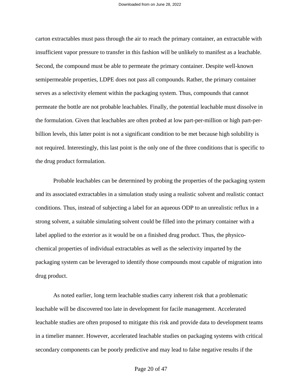carton extractables must pass through the air to reach the primary container, an extractable with insufficient vapor pressure to transfer in this fashion will be unlikely to manifest as a leachable. Second, the compound must be able to permeate the primary container. Despite well-known semipermeable properties, LDPE does not pass all compounds. Rather, the primary container serves as a selectivity element within the packaging system. Thus, compounds that cannot permeate the bottle are not probable leachables. Finally, the potential leachable must dissolve in the formulation. Given that leachables are often probed at low part-per-million or high part-perbillion levels, this latter point is not a significant condition to be met because high solubility is not required. Interestingly, this last point is the only one of the three conditions that is specific to the drug product formulation.

Probable leachables can be determined by probing the properties of the packaging system and its associated extractables in a simulation study using a realistic solvent and realistic contact conditions. Thus, instead of subjecting a label for an aqueous ODP to an unrealistic reflux in a strong solvent, a suitable simulating solvent could be filled into the primary container with a label applied to the exterior as it would be on a finished drug product. Thus, the physicochemical properties of individual extractables as well as the selectivity imparted by the packaging system can be leveraged to identify those compounds most capable of migration into drug product.

As noted earlier, long term leachable studies carry inherent risk that a problematic leachable will be discovered too late in development for facile management. Accelerated leachable studies are often proposed to mitigate this risk and provide data to development teams in a timelier manner. However, accelerated leachable studies on packaging systems with critical secondary components can be poorly predictive and may lead to false negative results if the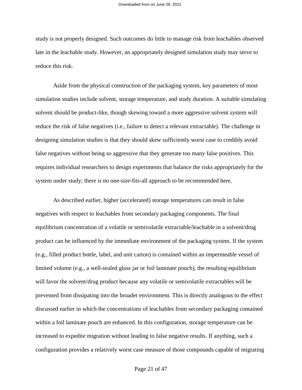study is not properly designed. Such outcomes do little to manage risk from leachables observed late in the leachable study. However, an appropriately designed simulation study may serve to reduce this risk.

Aside from the physical construction of the packaging system, key parameters of most simulation studies include solvent, storage temperature, and study duration. A suitable simulating solvent should be product-like, though skewing toward a more aggressive solvent system will reduce the risk of false negatives (i.e., failure to detect a relevant extractable). The challenge in designing simulation studies is that they should skew sufficiently worst case to credibly avoid false negatives without being so aggressive that they generate too many false positives. This requires individual researchers to design experiments that balance the risks appropriately for the system under study; there is no one-size-fits-all approach to be recommended here.

As described earlier, higher (accelerated) storage temperatures can result in false negatives with respect to leachables from secondary packaging components. The final equilibrium concentration of a volatile or semivolatile extractable/leachable in a solvent/drug product can be influenced by the immediate environment of the packaging system. If the system (e.g., filled product bottle, label, and unit carton) is contained within an impermeable vessel of limited volume (e.g., a well-sealed glass jar or foil laminate pouch), the resulting equilibrium will favor the solvent/drug product because any volatile or semivolatile extractables will be prevented from dissipating into the broader environment. This is directly analogous to the effect discussed earlier in which the concentrations of leachables from secondary packaging contained within a foil laminate pouch are enhanced. In this configuration, storage temperature can be increased to expedite migration without leading to false negative results. If anything, such a configuration provides a relatively worst case measure of those compounds capable of migrating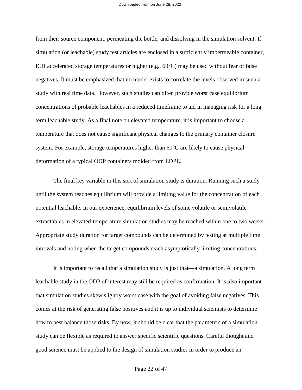from their source component, permeating the bottle, and dissolving in the simulation solvent. If simulation (or leachable) study test articles are enclosed in a sufficiently impermeable container, ICH accelerated storage temperatures or higher (e.g., 60°C) may be used without fear of false negatives. It must be emphasized that no model exists to correlate the levels observed in such a study with real time data. However, such studies can often provide worst case equilibrium concentrations of probable leachables in a reduced timeframe to aid in managing risk for a long term leachable study. As a final note on elevated temperature, it is important to choose a temperature that does not cause significant physical changes to the primary container closure system. For example, storage temperatures higher than 60°C are likely to cause physical deformation of a typical ODP containers molded from LDPE.

The final key variable in this sort of simulation study is duration. Running such a study until the system reaches equilibrium will provide a limiting value for the concentration of each potential leachable. In our experience, equilibrium levels of some volatile or semivolatile extractables in elevated-temperature simulation studies may be reached within one to two weeks. Appropriate study duration for target compounds can be determined by testing at multiple time intervals and noting when the target compounds reach asymptotically limiting concentrations.

It is important to recall that a simulation study is just that—a simulation. A long term leachable study in the ODP of interest may still be required as confirmation. It is also important that simulation studies skew slightly worst case with the goal of avoiding false negatives. This comes at the risk of generating false positives and it is up to individual scientists to determine how to best balance those risks. By now, it should be clear that the parameters of a simulation study can be flexible as required to answer specific scientific questions. Careful thought and good science must be applied to the design of simulation studies in order to produce an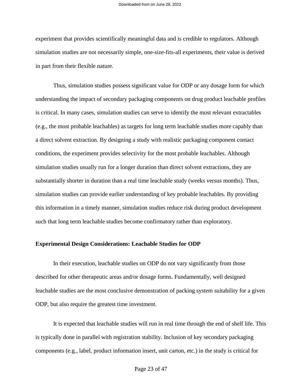experiment that provides scientifically meaningful data and is credible to regulators. Although simulation studies are not necessarily simple, one-size-fits-all experiments, their value is derived in part from their flexible nature.

Thus, simulation studies possess significant value for ODP or any dosage form for which understanding the impact of secondary packaging components on drug product leachable profiles is critical. In many cases, simulation studies can serve to identify the most relevant extractables (e.g., the most probable leachables) as targets for long term leachable studies more capably than a direct solvent extraction. By designing a study with realistic packaging component contact conditions, the experiment provides selectivity for the most probable leachables. Although simulation studies usually run for a longer duration than direct solvent extractions, they are substantially shorter in duration than a real time leachable study (weeks versus months). Thus, simulation studies can provide earlier understanding of key probable leachables. By providing this information in a timely manner, simulation studies reduce risk during product development such that long term leachable studies become confirmatory rather than exploratory.

### **Experimental Design Considerations: Leachable Studies for ODP**

In their execution, leachable studies on ODP do not vary significantly from those described for other therapeutic areas and/or dosage forms. Fundamentally, well designed leachable studies are the most conclusive demonstration of packing system suitability for a given ODP, but also require the greatest time investment.

It is expected that leachable studies will run in real time through the end of shelf life. This is typically done in parallel with registration stability. Inclusion of key secondary packaging components (e.g., label, product information insert, unit carton, etc.) in the study is critical for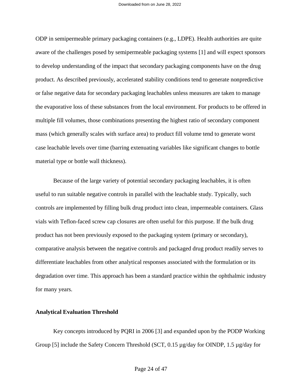ODP in semipermeable primary packaging containers (e.g., LDPE). Health authorities are quite aware of the challenges posed by semipermeable packaging systems [1] and will expect sponsors to develop understanding of the impact that secondary packaging components have on the drug product. As described previously, accelerated stability conditions tend to generate nonpredictive or false negative data for secondary packaging leachables unless measures are taken to manage the evaporative loss of these substances from the local environment. For products to be offered in multiple fill volumes, those combinations presenting the highest ratio of secondary component mass (which generally scales with surface area) to product fill volume tend to generate worst case leachable levels over time (barring extenuating variables like significant changes to bottle material type or bottle wall thickness).

Because of the large variety of potential secondary packaging leachables, it is often useful to run suitable negative controls in parallel with the leachable study. Typically, such controls are implemented by filling bulk drug product into clean, impermeable containers. Glass vials with Teflon-faced screw cap closures are often useful for this purpose. If the bulk drug product has not been previously exposed to the packaging system (primary or secondary), comparative analysis between the negative controls and packaged drug product readily serves to differentiate leachables from other analytical responses associated with the formulation or its degradation over time. This approach has been a standard practice within the ophthalmic industry for many years.

### **Analytical Evaluation Threshold**

Key concepts introduced by PQRI in 2006 [3] and expanded upon by the PODP Working Group [5] include the Safety Concern Threshold (SCT, 0.15 µg/day for OINDP, 1.5 µg/day for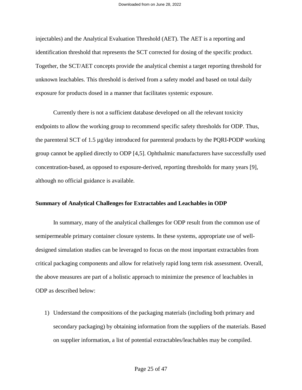injectables) and the Analytical Evaluation Threshold (AET). The AET is a reporting and identification threshold that represents the SCT corrected for dosing of the specific product. Together, the SCT/AET concepts provide the analytical chemist a target reporting threshold for unknown leachables. This threshold is derived from a safety model and based on total daily exposure for products dosed in a manner that facilitates systemic exposure.

Currently there is not a sufficient database developed on all the relevant toxicity endpoints to allow the working group to recommend specific safety thresholds for ODP. Thus, the parenteral SCT of 1.5 µg/day introduced for parenteral products by the PQRI-PODP working group cannot be applied directly to ODP [4,5]. Ophthalmic manufacturers have successfully used concentration-based, as opposed to exposure-derived, reporting thresholds for many years [9], although no official guidance is available.

### **Summary of Analytical Challenges for Extractables and Leachables in ODP**

In summary, many of the analytical challenges for ODP result from the common use of semipermeable primary container closure systems. In these systems, appropriate use of welldesigned simulation studies can be leveraged to focus on the most important extractables from critical packaging components and allow for relatively rapid long term risk assessment. Overall, the above measures are part of a holistic approach to minimize the presence of leachables in ODP as described below:

1) Understand the compositions of the packaging materials (including both primary and secondary packaging) by obtaining information from the suppliers of the materials. Based on supplier information, a list of potential extractables/leachables may be compiled.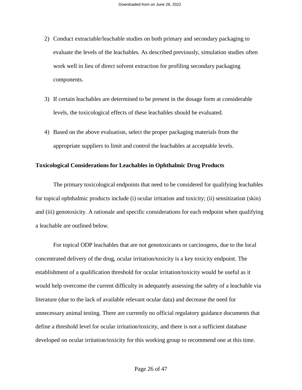- 2) Conduct extractable/leachable studies on both primary and secondary packaging to evaluate the levels of the leachables. As described previously, simulation studies often work well in lieu of direct solvent extraction for profiling secondary packaging components.
- 3) If certain leachables are determined to be present in the dosage form at considerable levels, the toxicological effects of these leachables should be evaluated.
- 4) Based on the above evaluation, select the proper packaging materials from the appropriate suppliers to limit and control the leachables at acceptable levels.

### **Toxicological Considerations for Leachables in Ophthalmic Drug Products**

The primary toxicological endpoints that need to be considered for qualifying leachables for topical ophthalmic products include (i) ocular irritation and toxicity; (ii) sensitization (skin) and (iii) genotoxicity. A rationale and specific considerations for each endpoint when qualifying a leachable are outlined below.

For topical ODP leachables that are not genotoxicants or carcinogens, due to the local concentrated delivery of the drug, ocular irritation/toxicity is a key toxicity endpoint. The establishment of a qualification threshold for ocular irritation/toxicity would be useful as it would help overcome the current difficulty in adequately assessing the safety of a leachable via literature (due to the lack of available relevant ocular data) and decrease the need for unnecessary animal testing. There are currently no official regulatory guidance documents that define a threshold level for ocular irritation/toxicity, and there is not a sufficient database developed on ocular irritation/toxicity for this working group to recommend one at this time.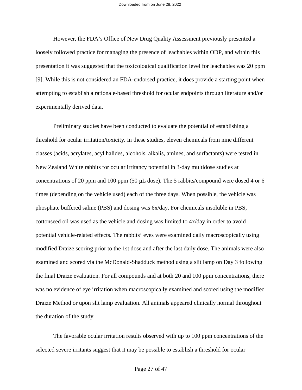However, the FDA's Office of New Drug Quality Assessment previously presented a loosely followed practice for managing the presence of leachables within ODP, and within this presentation it was suggested that the toxicological qualification level for leachables was 20 ppm [9]. While this is not considered an FDA-endorsed practice, it does provide a starting point when attempting to establish a rationale-based threshold for ocular endpoints through literature and/or experimentally derived data.

Preliminary studies have been conducted to evaluate the potential of establishing a threshold for ocular irritation/toxicity. In these studies, eleven chemicals from nine different classes (acids, acrylates, acyl halides, alcohols, alkalis, amines, and surfactants) were tested in New Zealand White rabbits for ocular irritancy potential in 3-day multidose studies at concentrations of 20 ppm and 100 ppm (50 μL dose). The 5 rabbits/compound were dosed 4 or 6 times (depending on the vehicle used) each of the three days. When possible, the vehicle was phosphate buffered saline (PBS) and dosing was 6x/day. For chemicals insoluble in PBS, cottonseed oil was used as the vehicle and dosing was limited to 4x/day in order to avoid potential vehicle-related effects. The rabbits' eyes were examined daily macroscopically using modified Draize scoring prior to the 1st dose and after the last daily dose. The animals were also examined and scored via the McDonald-Shadduck method using a slit lamp on Day 3 following the final Draize evaluation. For all compounds and at both 20 and 100 ppm concentrations, there was no evidence of eye irritation when macroscopically examined and scored using the modified Draize Method or upon slit lamp evaluation. All animals appeared clinically normal throughout the duration of the study.

The favorable ocular irritation results observed with up to 100 ppm concentrations of the selected severe irritants suggest that it may be possible to establish a threshold for ocular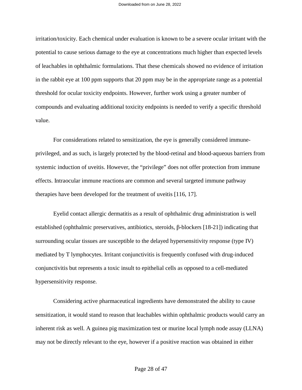irritation/toxicity. Each chemical under evaluation is known to be a severe ocular irritant with the potential to cause serious damage to the eye at concentrations much higher than expected levels of leachables in ophthalmic formulations. That these chemicals showed no evidence of irritation in the rabbit eye at 100 ppm supports that 20 ppm may be in the appropriate range as a potential threshold for ocular toxicity endpoints. However, further work using a greater number of compounds and evaluating additional toxicity endpoints is needed to verify a specific threshold value.

For considerations related to sensitization, the eye is generally considered immuneprivileged, and as such, is largely protected by the blood-retinal and blood-aqueous barriers from systemic induction of uveitis. However, the "privilege" does not offer protection from immune effects. Intraocular immune reactions are common and several targeted immune pathway therapies have been developed for the treatment of uveitis [116, 17].

Eyelid contact allergic dermatitis as a result of ophthalmic drug administration is well established (ophthalmic preservatives, antibiotics, steroids, β-blockers [18-21]) indicating that surrounding ocular tissues are susceptible to the delayed hypersensitivity response (type IV) mediated by T lymphocytes. Irritant conjunctivitis is frequently confused with drug-induced conjunctivitis but represents a toxic insult to epithelial cells as opposed to a cell-mediated hypersensitivity response.

Considering active pharmaceutical ingredients have demonstrated the ability to cause sensitization, it would stand to reason that leachables within ophthalmic products would carry an inherent risk as well. A guinea pig maximization test or murine local lymph node assay (LLNA) may not be directly relevant to the eye, however if a positive reaction was obtained in either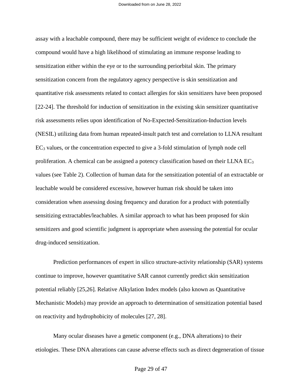assay with a leachable compound, there may be sufficient weight of evidence to conclude the compound would have a high likelihood of stimulating an immune response leading to sensitization either within the eye or to the surrounding periorbital skin. The primary sensitization concern from the regulatory agency perspective is skin sensitization and quantitative risk assessments related to contact allergies for skin sensitizers have been proposed [22-24]. The threshold for induction of sensitization in the existing skin sensitizer quantitative risk assessments relies upon identification of No-Expected-Sensitization-Induction levels (NESIL) utilizing data from human repeated-insult patch test and correlation to LLNA resultant  $EC<sub>3</sub>$  values, or the concentration expected to give a 3-fold stimulation of lymph node cell proliferation. A chemical can be assigned a potency classification based on their LLNA  $EC_3$ values (see Table 2). Collection of human data for the sensitization potential of an extractable or leachable would be considered excessive, however human risk should be taken into consideration when assessing dosing frequency and duration for a product with potentially sensitizing extractables/leachables. A similar approach to what has been proposed for skin sensitizers and good scientific judgment is appropriate when assessing the potential for ocular drug-induced sensitization.

Prediction performances of expert in silico structure-activity relationship (SAR) systems continue to improve, however quantitative SAR cannot currently predict skin sensitization potential reliably [25,26]. Relative Alkylation Index models (also known as Quantitative Mechanistic Models) may provide an approach to determination of sensitization potential based on reactivity and hydrophobicity of molecules [27, 28].

Many ocular diseases have a genetic component (e.g., DNA alterations) to their etiologies. These DNA alterations can cause adverse effects such as direct degeneration of tissue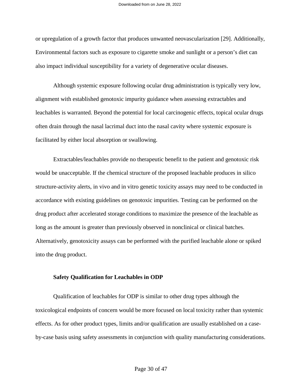or upregulation of a growth factor that produces unwanted neovascularization [29]. Additionally, Environmental factors such as exposure to cigarette smoke and sunlight or a person's diet can also impact individual susceptibility for a variety of degenerative ocular diseases.

Although systemic exposure following ocular drug administration is typically very low, alignment with established genotoxic impurity guidance when assessing extractables and leachables is warranted. Beyond the potential for local carcinogenic effects, topical ocular drugs often drain through the nasal lacrimal duct into the nasal cavity where systemic exposure is facilitated by either local absorption or swallowing.

Extractables/leachables provide no therapeutic benefit to the patient and genotoxic risk would be unacceptable. If the chemical structure of the proposed leachable produces in silico structure-activity alerts, in vivo and in vitro genetic toxicity assays may need to be conducted in accordance with existing guidelines on genotoxic impurities. Testing can be performed on the drug product after accelerated storage conditions to maximize the presence of the leachable as long as the amount is greater than previously observed in nonclinical or clinical batches. Alternatively, genotoxicity assays can be performed with the purified leachable alone or spiked into the drug product.

### **Safety Qualification for Leachables in ODP**

Qualification of leachables for ODP is similar to other drug types although the toxicological endpoints of concern would be more focused on local toxicity rather than systemic effects. As for other product types, limits and/or qualification are usually established on a caseby-case basis using safety assessments in conjunction with quality manufacturing considerations.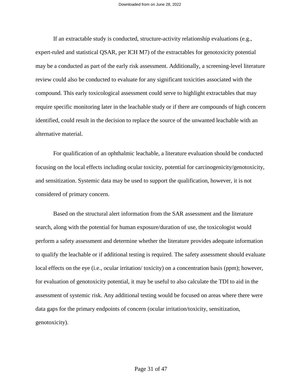If an extractable study is conducted, structure-activity relationship evaluations (e.g., expert-ruled and statistical QSAR, per ICH M7) of the extractables for genotoxicity potential may be a conducted as part of the early risk assessment. Additionally, a screening-level literature review could also be conducted to evaluate for any significant toxicities associated with the compound. This early toxicological assessment could serve to highlight extractables that may require specific monitoring later in the leachable study or if there are compounds of high concern identified, could result in the decision to replace the source of the unwanted leachable with an alternative material.

For qualification of an ophthalmic leachable, a literature evaluation should be conducted focusing on the local effects including ocular toxicity, potential for carcinogenicity/genotoxicity, and sensitization. Systemic data may be used to support the qualification, however, it is not considered of primary concern.

Based on the structural alert information from the SAR assessment and the literature search, along with the potential for human exposure/duration of use, the toxicologist would perform a safety assessment and determine whether the literature provides adequate information to qualify the leachable or if additional testing is required. The safety assessment should evaluate local effects on the eye (i.e., ocular irritation/ toxicity) on a concentration basis (ppm); however, for evaluation of genotoxicity potential, it may be useful to also calculate the TDI to aid in the assessment of systemic risk. Any additional testing would be focused on areas where there were data gaps for the primary endpoints of concern (ocular irritation/toxicity, sensitization, genotoxicity).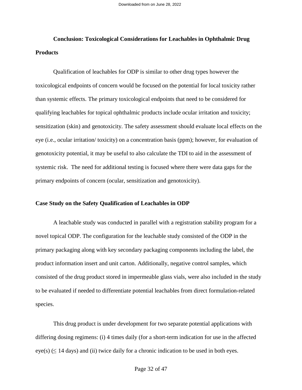## **Conclusion: Toxicological Considerations for Leachables in Ophthalmic Drug Products**

Qualification of leachables for ODP is similar to other drug types however the toxicological endpoints of concern would be focused on the potential for local toxicity rather than systemic effects. The primary toxicological endpoints that need to be considered for qualifying leachables for topical ophthalmic products include ocular irritation and toxicity; sensitization (skin) and genotoxicity. The safety assessment should evaluate local effects on the eye (i.e., ocular irritation/ toxicity) on a concentration basis (ppm); however, for evaluation of genotoxicity potential, it may be useful to also calculate the TDI to aid in the assessment of systemic risk. The need for additional testing is focused where there were data gaps for the primary endpoints of concern (ocular, sensitization and genotoxicity).

### **Case Study on the Safety Qualification of Leachables in ODP**

A leachable study was conducted in parallel with a registration stability program for a novel topical ODP. The configuration for the leachable study consisted of the ODP in the primary packaging along with key secondary packaging components including the label, the product information insert and unit carton. Additionally, negative control samples, which consisted of the drug product stored in impermeable glass vials, were also included in the study to be evaluated if needed to differentiate potential leachables from direct formulation-related species.

This drug product is under development for two separate potential applications with differing dosing regimens: (i) 4 times daily (for a short-term indication for use in the affected  $eye(s)$  ( $\leq$  14 days) and (ii) twice daily for a chronic indication to be used in both eyes.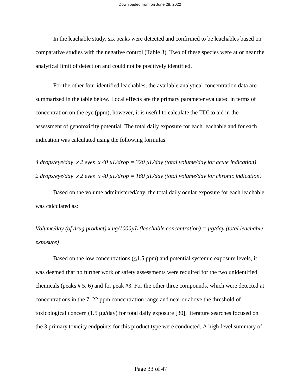In the leachable study, six peaks were detected and confirmed to be leachables based on comparative studies with the negative control (Table 3). Two of these species were at or near the analytical limit of detection and could not be positively identified.

For the other four identified leachables, the available analytical concentration data are summarized in the table below. Local effects are the primary parameter evaluated in terms of concentration on the eye (ppm), however, it is useful to calculate the TDI to aid in the assessment of genotoxicity potential. The total daily exposure for each leachable and for each indication was calculated using the following formulas:

*4 drops/eye/day x 2 eyes x 40 µL/drop = 320 µL/day (total volume/day for acute indication) 2 drops/eye/day x 2 eyes x 40 µL/drop = 160 µL/day (total volume/day for chronic indication)* 

Based on the volume administered/day, the total daily ocular exposure for each leachable was calculated as:

*Volume/day (of drug product) x ug/1000µL (leachable concentration) = µg/day (total leachable exposure)* 

Based on the low concentrations  $(\leq 1.5$  ppm) and potential systemic exposure levels, it was deemed that no further work or safety assessments were required for the two unidentified chemicals (peaks # 5, 6) and for peak #3. For the other three compounds, which were detected at concentrations in the 7–22 ppm concentration range and near or above the threshold of toxicological concern  $(1.5 \mu g/day)$  for total daily exposure [30], literature searches focused on the 3 primary toxicity endpoints for this product type were conducted. A high-level summary of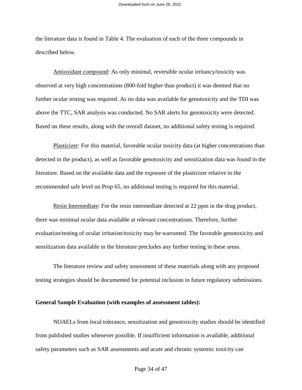the literature data is found in Table 4. The evaluation of each of the three compounds in described below.

Antioxidant compound: As only minimal, reversible ocular irritancy/toxicity was observed at very high concentrations (800-fold higher than product) it was deemed that no further ocular testing was required. As no data was available for genotoxicity and the TDI was above the TTC, SAR analysis was conducted. No SAR alerts for genotoxicity were detected. Based on these results, along with the overall dataset, no additional safety testing is required.

Plasticizer: For this material, favorable ocular toxicity data (at higher concentrations than detected in the product), as well as favorable genotoxicity and sensitization data was found in the literature. Based on the available data and the exposure of the plasticizer relative to the recommended safe level on Prop 65, no additional testing is required for this material.

Resin Intermediate: For the resin intermediate detected at 22 ppm in the drug product, there was minimal ocular data available at relevant concentrations. Therefore, further evaluation/testing of ocular irritation/toxicity may be warranted. The favorable genotoxicity and sensitization data available in the literature precludes any further testing in these areas.

The literature review and safety assessment of these materials along with any proposed testing strategies should be documented for potential inclusion in future regulatory submissions.

### **General Sample Evaluation (with examples of assessment tables):**

NOAELs from local tolerance, sensitization and genotoxicity studies should be identified from published studies whenever possible. If insufficient information is available, additional safety parameters such as SAR assessments and acute and chronic systemic toxicity can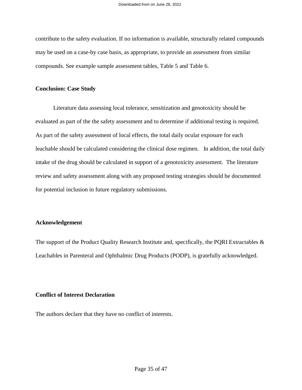contribute to the safety evaluation. If no information is available, structurally related compounds may be used on a case-by case basis, as appropriate, to provide an assessment from similar compounds. See example sample assessment tables, Table 5 and Table 6.

### **Conclusion: Case Study**

Literature data assessing local tolerance, sensitization and genotoxicity should be evaluated as part of the the safety assessment and to determine if additional testing is required. As part of the safety assessment of local effects, the total daily ocular exposure for each leachable should be calculated considering the clinical dose regimen. In addition, the total daily intake of the drug should be calculated in support of a genotoxicity assessment. The literature review and safety assessment along with any proposed testing strategies should be documented for potential inclusion in future regulatory submissions.

### **Acknowledgement**

The support of the Product Quality Research Institute and, specifically, the PQRI Extractables & Leachables in Parenteral and Ophthalmic Drug Products (PODP), is gratefully acknowledged.

### **Conflict of Interest Declaration**

The authors declare that they have no conflict of interests.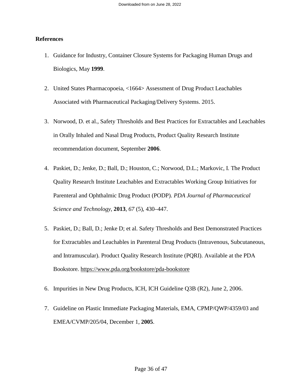### **References**

- 1. Guidance for Industry, Container Closure Systems for Packaging Human Drugs and Biologics, May **1999**.
- 2. United States Pharmacopoeia, <1664> Assessment of Drug Product Leachables Associated with Pharmaceutical Packaging/Delivery Systems. 2015.
- 3. Norwood, D. et al., Safety Thresholds and Best Practices for Extractables and Leachables in Orally Inhaled and Nasal Drug Products, Product Quality Research Institute recommendation document, September **2006**.
- 4. Paskiet, D.; Jenke, D.; Ball, D.; Houston, C.; Norwood, D.L.; Markovic, I. The Product Quality Research Institute Leachables and Extractables Working Group Initiatives for Parenteral and Ophthalmic Drug Product (PODP). *PDA Journal of Pharmaceutical Science and Technology*, **2013**, *67* (5), 430–447.
- 5. Paskiet, D.; Ball, D.; Jenke D; et al. Safety Thresholds and Best Demonstrated Practices for Extractables and Leachables in Parenteral Drug Products (Intravenous, Subcutaneous, and Intramuscular). Product Quality Research Institute (PQRI). Available at the PDA Bookstore. https://www.pda.org/bookstore/pda-bookstore
- 6. Impurities in New Drug Products, ICH, ICH Guideline Q3B (R2), June 2, 2006.
- 7. Guideline on Plastic Immediate Packaging Materials, EMA, CPMP/QWP/4359/03 and EMEA/CVMP/205/04, December 1, **2005**.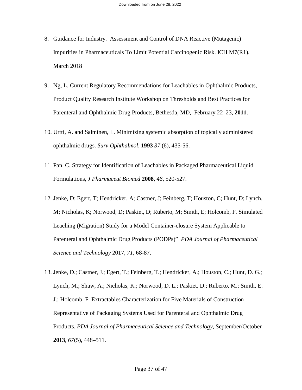- 8. Guidance for Industry. Assessment and Control of DNA Reactive (Mutagenic) Impurities in Pharmaceuticals To Limit Potential Carcinogenic Risk. ICH M7(R1). March 2018
- 9. Ng, L. Current Regulatory Recommendations for Leachables in Ophthalmic Products, Product Quality Research Institute Workshop on Thresholds and Best Practices for Parenteral and Ophthalmic Drug Products, Bethesda, MD, February 22–23, **2011**.
- 10. Urtti, A. and Salminen, L. Minimizing systemic absorption of topically administered ophthalmic drugs. *Surv Ophthalmol*. **1993** *37* (6), 435-56.
- 11. Pan. C. Strategy for Identification of Leachables in Packaged Pharmaceutical Liquid Formulations, *J Pharmaceut Biomed* **2008**, *46*, 520-527.
- 12. Jenke, D; Egert, T; Hendricker, A; Castner, J; Feinberg, T; Houston, C; Hunt, D; Lynch, M; Nicholas, K; Norwood, D; Paskiet, D; Ruberto, M; Smith, E; Holcomb, F. Simulated Leaching (Migration) Study for a Model Container-closure System Applicable to Parenteral and Ophthalmic Drug Products (PODPs)" *PDA Journal of Pharmaceutical Science and Technology* 2017, *71*, 68-87.
- 13. Jenke, D.; Castner, J.; Egert, T.; Feinberg, T.; Hendricker, A.; Houston, C.; Hunt, D. G.; Lynch, M.; Shaw, A.; Nicholas, K.; Norwood, D. L.; Paskiet, D.; Ruberto, M.; Smith, E. J.; Holcomb, F. Extractables Characterization for Five Materials of Construction Representative of Packaging Systems Used for Parenteral and Ophthalmic Drug Products. *PDA Journal of Pharmaceutical Science and Technology*, September/October **2013**, *67*(5), 448–511.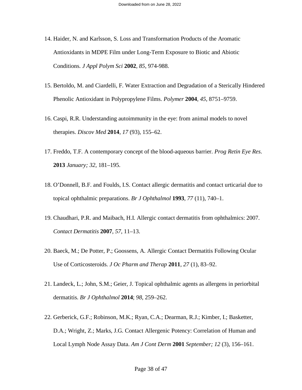- 14. Haider, N. and Karlsson, S. Loss and Transformation Products of the Aromatic Antioxidants in MDPE Film under Long-Term Exposure to Biotic and Abiotic Conditions. *J Appl Polym Sci* **2002**, *85*, 974-988.
- 15. Bertoldo, M. and Ciardelli, F. Water Extraction and Degradation of a Sterically Hindered Phenolic Antioxidant in Polypropylene Films. *Polymer* **2004**, *45*, 8751–9759.
- 16. Caspi, R.R. Understanding autoimmunity in the eye: from animal models to novel therapies. *Discov Med* **2014**, *17* (93), 155–62.
- 17. Freddo, T.F. A contemporary concept of the blood-aqueous barrier. *Prog Retin Eye Res*. **2013** *January; 32*, 181–195.
- 18. O'Donnell, B.F. and Foulds, I.S. Contact allergic dermatitis and contact urticarial due to topical ophthalmic preparations. *Br J Ophthalmol* **1993**, *77* (11), 740–1.
- 19. Chaudhari, P.R. and Maibach, H.I. Allergic contact dermatitis from ophthalmics: 2007. *Contact Dermatitis* **2007**, *57*, 11–13.
- 20. Baeck, M.; De Potter, P.; Goossens, A. Allergic Contact Dermatitis Following Ocular Use of Corticosteroids. *J Oc Pharm and Therap* **2011**, *27* (1), 83–92.
- 21. Landeck, L.; John, S.M.; Geier, J. Topical ophthalmic agents as allergens in periorbital dermatitis. *Br J Ophthalmol* **2014**; *98*, 259–262.
- 22. Gerberick, G.F.; Robinson, M.K.; Ryan, C.A.; Dearman, R.J.; Kimber, I.; Basketter, D.A.; Wright, Z.; Marks, J.G. Contact Allergenic Potency: Correlation of Human and Local Lymph Node Assay Data. *Am J Cont Derm* **2001** *September; 12* (3), 156–161.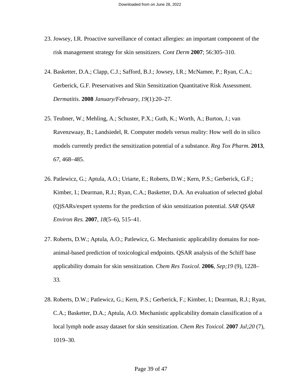- 23. Jowsey, I.R. Proactive surveillance of contact allergies: an important component of the risk management strategy for skin sensitizers. *Cont Derm* **2007**; 56:305–310.
- 24. Basketter, D.A.; Clapp, C.J.; Safford, B.J.; Jowsey, I.R.; McNamee, P.; Ryan, C.A.; Gerberick, G.F. Preservatives and Skin Sensitization Quantitative Risk Assessment. *Dermatitis*. **2008** *January/February*, *19*(1):20–27.
- 25. Teubner, W.; Mehling, A.; Schuster, P.X.; Guth, K.; Worth, A.; Burton, J.; van Ravenzwaay, B.; Landsiedel, R. Computer models versus reality: How well do in silico models currently predict the sensitization potential of a substance. *Reg Tox Pharm*. **2013**, *67*, 468–485.
- 26. Patlewicz, G.; Aptula, A.O.; Uriarte, E.; Roberts, D.W.; Kern, P.S.; Gerberick, G.F.; Kimber, I.; Dearman, R.J.; Ryan, C.A.; Basketter, D.A. An evaluation of selected global (Q)SARs/expert systems for the prediction of skin sensitization potential. *SAR QSAR Environ Res.* **2007**, *18*(5–6), 515–41.
- 27. Roberts, D.W.; Aptula, A.O.; Patlewicz, G. Mechanistic applicability domains for nonanimal-based prediction of toxicological endpoints. QSAR analysis of the Schiff base applicability domain for skin sensitization. *Chem Res Toxicol.* **2006**, *Sep;19* (9), 1228– 33.
- 28. Roberts, D.W.; Patlewicz, G.; Kern, P.S.; Gerberick, F.; Kimber, I.; Dearman, R.J.; Ryan, C.A.; Basketter, D.A.; Aptula, A.O. Mechanistic applicability domain classification of a local lymph node assay dataset for skin sensitization. *Chem Res Toxicol.* **2007** *Jul;20* (7), 1019–30.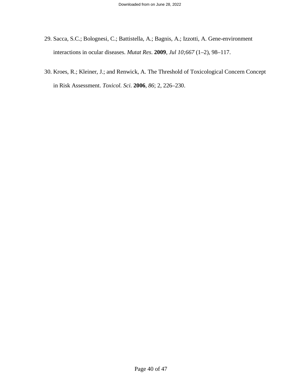- 29. Sacca, S.C.; Bolognesi, C.; Battistella, A.; Bagnis, A.; Izzotti, A. Gene-environment interactions in ocular diseases. *Mutat Res*. **2009**, *Jul 10;667* (1–2), 98–117.
- 30. Kroes, R.; Kleiner, J.; and Renwick, A. The Threshold of Toxicological Concern Concept in Risk Assessment. *Toxicol. Sci.* **2006**, *86*; 2, 226–230.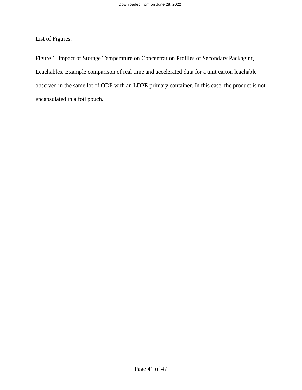List of Figures:

Figure 1. Impact of Storage Temperature on Concentration Profiles of Secondary Packaging Leachables. Example comparison of real time and accelerated data for a unit carton leachable observed in the same lot of ODP with an LDPE primary container. In this case, the product is not encapsulated in a foil pouch.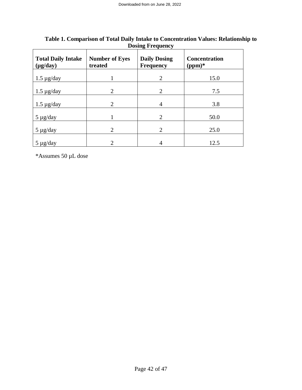| <b>Total Daily Intake</b><br>$(\mu g / day)$ | <b>Number of Eyes</b><br>treated | <b>Daily Dosing</b><br><b>Frequency</b> | <b>Concentration</b><br>$(ppm)*$ |
|----------------------------------------------|----------------------------------|-----------------------------------------|----------------------------------|
| $1.5 \mu$ g/day                              |                                  | 2                                       | 15.0                             |
| $1.5 \mu g/day$                              | $\overline{2}$                   | $\overline{2}$                          | 7.5                              |
| $1.5 \mu$ g/day                              | $\mathcal{D}_{\mathcal{L}}$      | 4                                       | 3.8                              |
| $5 \mu g/day$                                |                                  | $\mathcal{D}_{\mathcal{L}}$             | 50.0                             |
| $5 \mu g/day$                                | 2                                | $\overline{2}$                          | 25.0                             |
| $5 \mu g/day$                                | 2                                |                                         | 12.5                             |

### **Table 1. Comparison of Total Daily Intake to Concentration Values: Relationship to Dosing Frequency**

\*Assumes 50 µL dose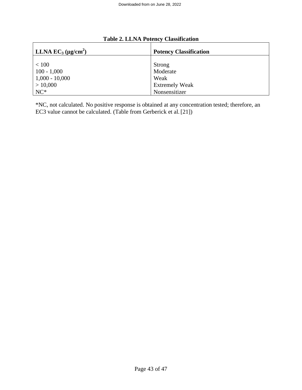| LLNA $EC_3$ (µg/cm <sup>2</sup> ) | <b>Potency Classification</b> |
|-----------------------------------|-------------------------------|
| < 100                             | Strong                        |
| $100 - 1,000$                     | Moderate                      |
| $1,000 - 10,000$                  | Weak                          |
| > 10,000                          | <b>Extremely Weak</b>         |
| $NC*$                             | Nonsensitizer                 |

## **Table 2. LLNA Potency Classification**

\*NC, not calculated. No positive response is obtained at any concentration tested; therefore, an EC3 value cannot be calculated. (Table from Gerberick et al.[21])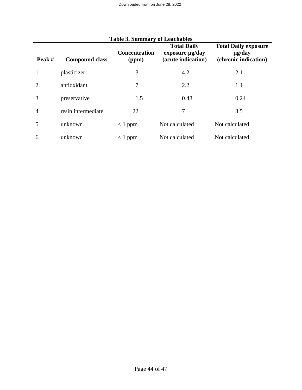|                |                       | <b>Concentration</b> | <b>Total Daily</b><br>exposure µg/day | <b>Total Daily exposure</b><br>$\mu$ g/day |
|----------------|-----------------------|----------------------|---------------------------------------|--------------------------------------------|
| Peak#          | <b>Compound class</b> | (ppm)                | (acute indication)                    | (chronic indication)                       |
|                | plasticizer           | 13                   | 4.2                                   | 2.1                                        |
| $\overline{2}$ | antioxidant           | 7                    | 2.2                                   | 1.1                                        |
| 3              | preservative          | 1.5                  | 0.48                                  | 0.24                                       |
| 4              | resin intermediate    | 22                   |                                       | 3.5                                        |
| 5              | unknown               | $<$ 1 ppm            | Not calculated                        | Not calculated                             |
| 6              | unknown               | $< 1$ ppm            | Not calculated                        | Not calculated                             |

## **Table 3. Summary of Leachables**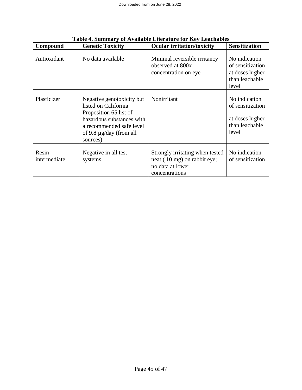| Compound              | <b>Genetic Toxicity</b>                                                                                                                                                          | <b>Ocular irritation/toxicity</b>                                                                    | <b>Sensitization</b>                                                            |
|-----------------------|----------------------------------------------------------------------------------------------------------------------------------------------------------------------------------|------------------------------------------------------------------------------------------------------|---------------------------------------------------------------------------------|
| Antioxidant           | No data available                                                                                                                                                                | Minimal reversible irritancy<br>observed at 800x<br>concentration on eye                             | No indication<br>of sensitization<br>at doses higher<br>than leachable<br>level |
| Plasticizer           | Negative genotoxicity but<br>listed on California<br>Proposition 65 list of<br>hazardous substances with<br>a recommended safe level<br>of 9.8 $\mu$ g/day (from all<br>sources) | Nonirritant                                                                                          | No indication<br>of sensitization<br>at doses higher<br>than leachable<br>level |
| Resin<br>intermediate | Negative in all test<br>systems                                                                                                                                                  | Strongly irritating when tested<br>neat (10 mg) on rabbit eye;<br>no data at lower<br>concentrations | No indication<br>of sensitization                                               |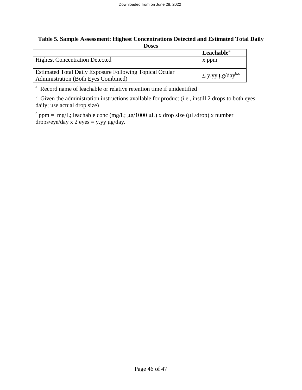### **Table 5. Sample Assessment: Highest Concentrations Detected and Estimated Total Daily Doses**

|                                                                | Leachable <sup>a</sup>             |
|----------------------------------------------------------------|------------------------------------|
| <b>Highest Concentration Detected</b>                          | x ppm                              |
|                                                                |                                    |
| <b>Estimated Total Daily Exposure Following Topical Ocular</b> | $ \leq$ y.yy µg/day <sup>b,c</sup> |
| <b>Administration (Both Eyes Combined)</b>                     |                                    |

<sup>a</sup> Record name of leachable or relative retention time if unidentified

<sup>b</sup> Given the administration instructions available for product (i.e., instill 2 drops to both eyes daily; use actual drop size)

<sup>c</sup> ppm = mg/L; leachable conc (mg/L; μg/1000 μL) x drop size (μL/drop) x number drops/eye/day x 2 eyes = y.yy μg/day.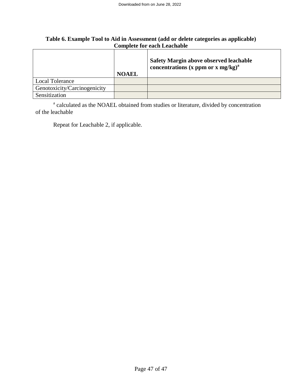### **Table 6. Example Tool to Aid in Assessment (add or delete categories as applicable) Complete for each Leachable**

|                              | <b>NOAEL</b> | <b>Safety Margin above observed leachable</b><br>concentrations (x ppm or x mg/kg) <sup>a</sup> |
|------------------------------|--------------|-------------------------------------------------------------------------------------------------|
| <b>Local Tolerance</b>       |              |                                                                                                 |
| Genotoxicity/Carcinogenicity |              |                                                                                                 |
| Sensitization                |              |                                                                                                 |

<sup>a</sup> calculated as the NOAEL obtained from studies or literature, divided by concentration of the leachable

Repeat for Leachable 2, if applicable.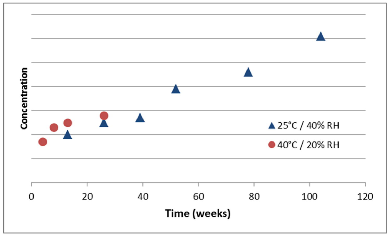